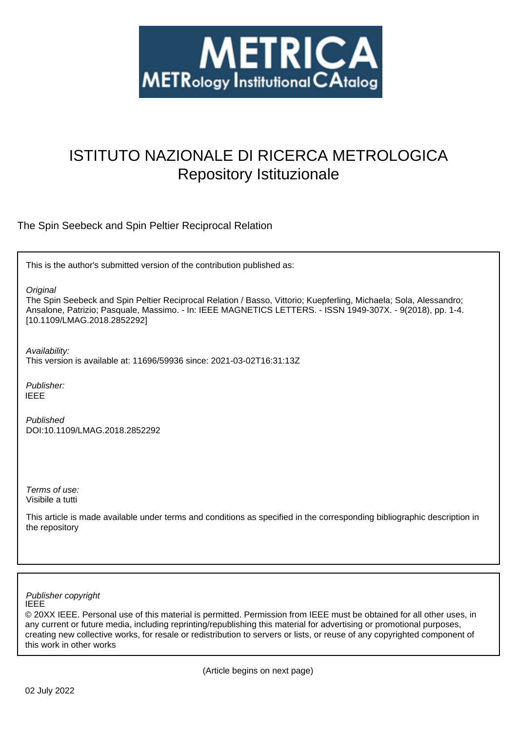

# ISTITUTO NAZIONALE DI RICERCA METROLOGICA Repository Istituzionale

The Spin Seebeck and Spin Peltier Reciprocal Relation

This is the author's submitted version of the contribution published as:

**Original** 

The Spin Seebeck and Spin Peltier Reciprocal Relation / Basso, Vittorio; Kuepferling, Michaela; Sola, Alessandro; Ansalone, Patrizio; Pasquale, Massimo. - In: IEEE MAGNETICS LETTERS. - ISSN 1949-307X. - 9(2018), pp. 1-4. [10.1109/LMAG.2018.2852292]

Availability:

This version is available at: 11696/59936 since: 2021-03-02T16:31:13Z

Publisher: IEEE

Published DOI:10.1109/LMAG.2018.2852292

Terms of use: Visibile a tutti

This article is made available under terms and conditions as specified in the corresponding bibliographic description in the repository

IEEE Publisher copyright

© 20XX IEEE. Personal use of this material is permitted. Permission from IEEE must be obtained for all other uses, in any current or future media, including reprinting/republishing this material for advertising or promotional purposes, creating new collective works, for resale or redistribution to servers or lists, or reuse of any copyrighted component of this work in other works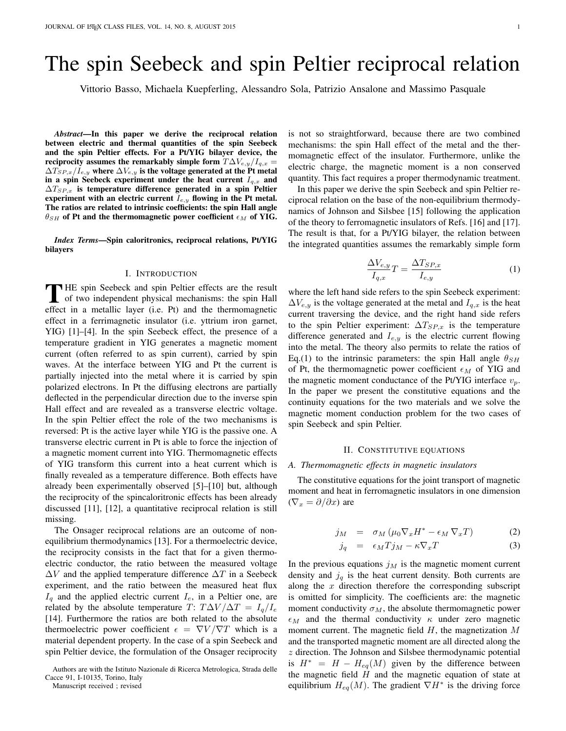# The spin Seebeck and spin Peltier reciprocal relation

Vittorio Basso, Michaela Kuepferling, Alessandro Sola, Patrizio Ansalone and Massimo Pasquale

*Abstract*—In this paper we derive the reciprocal relation between electric and thermal quantities of the spin Seebeck and the spin Peltier effects. For a Pt/YIG bilayer device, the reciprocity assumes the remarkably simple form  $T\Delta V_{e,y}/I_{q,x} =$  $\Delta T_{SP,x}/I_{e,y}$  where  $\Delta V_{e,y}$  is the voltage generated at the Pt metal in a spin Seebeck experiment under the heat current  $I_{q,x}$  and  $\Delta T_{SP,x}$  is temperature difference generated in a spin Peltier experiment with an electric current  $I_{e,y}$  flowing in the Pt metal. The ratios are related to intrinsic coefficients: the spin Hall angle  $\theta_{SH}$  of Pt and the thermomagnetic power coefficient  $\epsilon_M$  of YIG.

*Index Terms*—Spin caloritronics, reciprocal relations, Pt/YIG bilayers

#### I. INTRODUCTION

THE spin Seebeck and spin Peltier effects are the result<br>of two independent physical mechanisms: the spin Hall **HE** spin Seebeck and spin Peltier effects are the result effect in a metallic layer (i.e. Pt) and the thermomagnetic effect in a ferrimagnetic insulator (i.e. yttrium iron garnet, YIG) [1]–[4]. In the spin Seebeck effect, the presence of a temperature gradient in YIG generates a magnetic moment current (often referred to as spin current), carried by spin waves. At the interface between YIG and Pt the current is partially injected into the metal where it is carried by spin polarized electrons. In Pt the diffusing electrons are partially deflected in the perpendicular direction due to the inverse spin Hall effect and are revealed as a transverse electric voltage. In the spin Peltier effect the role of the two mechanisms is reversed: Pt is the active layer while YIG is the passive one. A transverse electric current in Pt is able to force the injection of a magnetic moment current into YIG. Thermomagnetic effects of YIG transform this current into a heat current which is finally revealed as a temperature difference. Both effects have already been experimentally observed [5]–[10] but, although the reciprocity of the spincaloritronic effects has been already discussed [11], [12], a quantitative reciprocal relation is still missing.

The Onsager reciprocal relations are an outcome of nonequilibrium thermodynamics [13]. For a thermoelectric device, the reciprocity consists in the fact that for a given thermoelectric conductor, the ratio between the measured voltage  $\Delta V$  and the applied temperature difference  $\Delta T$  in a Seebeck experiment, and the ratio between the measured heat flux  $I_q$  and the applied electric current  $I_e$ , in a Peltier one, are related by the absolute temperature T:  $T\Delta V/\Delta T = I_q/I_e$ [14]. Furthermore the ratios are both related to the absolute thermoelectric power coefficient  $\epsilon = \nabla V / \nabla T$  which is a material dependent property. In the case of a spin Seebeck and spin Peltier device, the formulation of the Onsager reciprocity

Manuscript received ; revised

is not so straightforward, because there are two combined mechanisms: the spin Hall effect of the metal and the ther-

momagnetic effect of the insulator. Furthermore, unlike the electric charge, the magnetic moment is a non conserved quantity. This fact requires a proper thermodynamic treatment. In this paper we derive the spin Seebeck and spin Peltier re-

ciprocal relation on the base of the non-equilibrium thermodynamics of Johnson and Silsbee [15] following the application of the theory to ferromagnetic insulators of Refs. [16] and [17]. The result is that, for a Pt/YIG bilayer, the relation between the integrated quantities assumes the remarkably simple form

$$
\frac{\Delta V_{e,y}}{I_{q,x}}T = \frac{\Delta T_{SP,x}}{I_{e,y}}\tag{1}
$$

where the left hand side refers to the spin Seebeck experiment:  $\Delta V_{e,y}$  is the voltage generated at the metal and  $I_{q,x}$  is the heat current traversing the device, and the right hand side refers to the spin Peltier experiment:  $\Delta T_{SP,x}$  is the temperature difference generated and  $I_{e,y}$  is the electric current flowing into the metal. The theory also permits to relate the ratios of Eq.(1) to the intrinsic parameters: the spin Hall angle  $\theta_{SH}$ of Pt, the thermomagnetic power coefficient  $\epsilon_M$  of YIG and the magnetic moment conductance of the Pt/YIG interface  $v_p$ . In the paper we present the constitutive equations and the continuity equations for the two materials and we solve the magnetic moment conduction problem for the two cases of spin Seebeck and spin Peltier.

#### II. CONSTITUTIVE EQUATIONS

#### *A. Thermomagnetic effects in magnetic insulators*

The constitutive equations for the joint transport of magnetic moment and heat in ferromagnetic insulators in one dimension  $(\nabla_x = \partial/\partial x)$  are

$$
j_M = \sigma_M \left( \mu_0 \nabla_x H^* - \epsilon_M \nabla_x T \right) \tag{2}
$$

$$
j_q = \epsilon_M T j_M - \kappa \nabla_x T \tag{3}
$$

In the previous equations  $j_M$  is the magnetic moment current density and  $j_q$  is the heat current density. Both currents are along the  $x$  direction therefore the corresponding subscript is omitted for simplicity. The coefficients are: the magnetic moment conductivity  $\sigma_M$ , the absolute thermomagnetic power  $\epsilon_M$  and the thermal conductivity  $\kappa$  under zero magnetic moment current. The magnetic field  $H$ , the magnetization  $M$ and the transported magnetic moment are all directed along the z direction. The Johnson and Silsbee thermodynamic potential is  $H^* = H - H_{eq}(M)$  given by the difference between the magnetic field  $H$  and the magnetic equation of state at equilibrium  $H_{eq}(M)$ . The gradient  $\nabla H^*$  is the driving force

Authors are with the Istituto Nazionale di Ricerca Metrologica, Strada delle Cacce 91, I-10135, Torino, Italy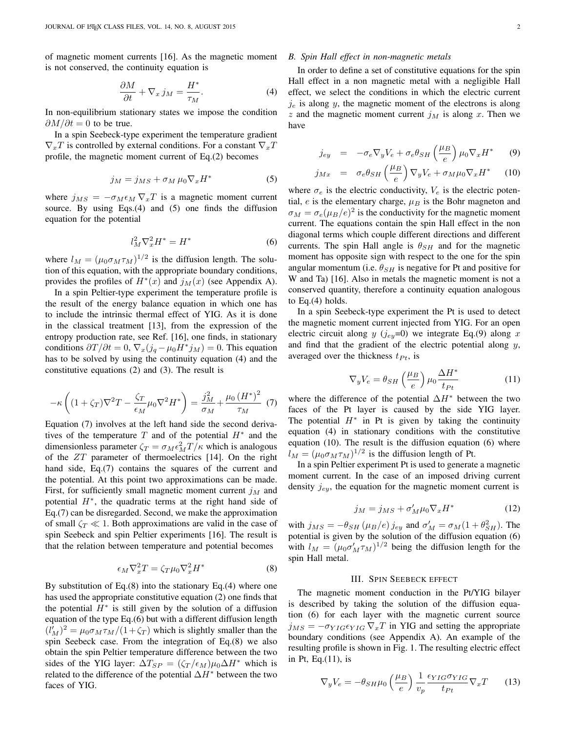of magnetic moment currents [16]. As the magnetic moment is not conserved, the continuity equation is

$$
\frac{\partial M}{\partial t} + \nabla_x j_M = \frac{H^*}{\tau_M}.\tag{4}
$$

In non-equilibrium stationary states we impose the condition  $\partial M/\partial t = 0$  to be true.

In a spin Seebeck-type experiment the temperature gradient  $\nabla_x T$  is controlled by external conditions. For a constant  $\nabla_x T$ profile, the magnetic moment current of Eq.(2) becomes

$$
j_M = j_{MS} + \sigma_M \,\mu_0 \nabla_x H^* \tag{5}
$$

where  $j_{MS} = -\sigma_M \epsilon_M \nabla_x T$  is a magnetic moment current source. By using Eqs.(4) and (5) one finds the diffusion equation for the potential

$$
l_M^2 \nabla_x^2 H^* = H^* \tag{6}
$$

where  $l_M = (\mu_0 \sigma_M \tau_M)^{1/2}$  is the diffusion length. The solution of this equation, with the appropriate boundary conditions, provides the profiles of  $H^*(x)$  and  $j_M(x)$  (see Appendix A).

In a spin Peltier-type experiment the temperature profile is the result of the energy balance equation in which one has to include the intrinsic thermal effect of YIG. As it is done in the classical treatment [13], from the expression of the entropy production rate, see Ref. [16], one finds, in stationary conditions  $\partial T/\partial t = 0$ ,  $\nabla_x (j_q - \mu_0 H^* j_M) = 0$ . This equation has to be solved by using the continuity equation (4) and the constitutive equations (2) and (3). The result is

$$
-\kappa \left( (1+\zeta_T)\nabla^2 T - \frac{\zeta_T}{\epsilon_M} \mu_0 \nabla^2 H^* \right) = \frac{j_M^2}{\sigma_M} + \frac{\mu_0 \left( H^* \right)^2}{\tau_M} \tag{7}
$$

Equation (7) involves at the left hand side the second derivatives of the temperature  $T$  and of the potential  $H^*$  and the dimensionless parameter  $\zeta_T = \sigma_M \epsilon_M^2 T / \kappa$  which is analogous of the  $ZT$  parameter of thermoelectrics [14]. On the right hand side, Eq.(7) contains the squares of the current and the potential. At this point two approximations can be made. First, for sufficiently small magnetic moment current  $j_M$  and potential  $H^*$ , the quadratic terms at the right hand side of Eq.(7) can be disregarded. Second, we make the approximation of small  $\zeta_T \ll 1$ . Both approximations are valid in the case of spin Seebeck and spin Peltier experiments [16]. The result is that the relation between temperature and potential becomes

$$
\epsilon_M \nabla_x^2 T = \zeta_T \mu_0 \nabla_x^2 H^* \tag{8}
$$

By substitution of Eq.(8) into the stationary Eq.(4) where one has used the appropriate constitutive equation (2) one finds that the potential  $H^*$  is still given by the solution of a diffusion equation of the type Eq.(6) but with a different diffusion length  $(l'_M)^2 = \mu_0 \sigma_M \tau_M / (1 + \zeta_T)$  which is slightly smaller than the spin Seebeck case. From the integration of Eq.(8) we also obtain the spin Peltier temperature difference between the two sides of the YIG layer:  $\Delta T_{SP} = (\zeta_T / \epsilon_M) \mu_0 \Delta H^*$  which is related to the difference of the potential  $\Delta H^*$  between the two faces of YIG.

#### *B. Spin Hall effect in non-magnetic metals*

In order to define a set of constitutive equations for the spin Hall effect in a non magnetic metal with a negligible Hall effect, we select the conditions in which the electric current  $j_e$  is along y, the magnetic moment of the electrons is along z and the magnetic moment current  $j_M$  is along x. Then we have

$$
j_{ey} = -\sigma_e \nabla_y V_e + \sigma_e \theta_{SH} \left(\frac{\mu_B}{e}\right) \mu_0 \nabla_x H^* \qquad (9)
$$

$$
j_{Mx} = \sigma_e \theta_{SH} \left(\frac{\mu_B}{e}\right) \nabla_y V_e + \sigma_M \mu_0 \nabla_x H^* \qquad (10)
$$

where  $\sigma_e$  is the electric conductivity,  $V_e$  is the electric potential, e is the elementary charge,  $\mu_B$  is the Bohr magneton and  $\sigma_M = \sigma_e (\mu_B/e)^2$  is the conductivity for the magnetic moment current. The equations contain the spin Hall effect in the non diagonal terms which couple different directions and different currents. The spin Hall angle is  $\theta_{SH}$  and for the magnetic moment has opposite sign with respect to the one for the spin angular momentum (i.e.  $\theta_{SH}$  is negative for Pt and positive for W and Ta) [16]. Also in metals the magnetic moment is not a conserved quantity, therefore a continuity equation analogous to Eq. $(4)$  holds.

In a spin Seebeck-type experiment the Pt is used to detect the magnetic moment current injected from YIG. For an open electric circuit along y  $(j_{ey}=0)$  we integrate Eq.(9) along x and find that the gradient of the electric potential along  $y$ , averaged over the thickness  $t_{Pt}$ , is

$$
\nabla_y V_e = \theta_{SH} \left(\frac{\mu_B}{e}\right) \mu_0 \frac{\Delta H^*}{t_{Pt}} \tag{11}
$$

where the difference of the potential  $\Delta H^*$  between the two faces of the Pt layer is caused by the side YIG layer. The potential  $H^*$  in Pt is given by taking the continuity equation (4) in stationary conditions with the constitutive equation (10). The result is the diffusion equation (6) where  $l_M = (\mu_0 \sigma_M \tau_M)^{1/2}$  is the diffusion length of Pt.

In a spin Peltier experiment Pt is used to generate a magnetic moment current. In the case of an imposed driving current density  $j_{ey}$ , the equation for the magnetic moment current is

$$
j_M = j_{MS} + \sigma'_M \mu_0 \nabla_x H^* \tag{12}
$$

with  $j_{MS} = -\theta_{SH} (\mu_B/e) j_{ey}$  and  $\sigma'_M = \sigma_M (1 + \theta_{SH}^2)$ . The potential is given by the solution of the diffusion equation (6) with  $l_M = (\mu_0 \sigma'_M \tau_M)^{1/2}$  being the diffusion length for the spin Hall metal.

#### III. SPIN SEEBECK EFFECT

The magnetic moment conduction in the Pt/YIG bilayer is described by taking the solution of the diffusion equation (6) for each layer with the magnetic current source  $j_{MS} = -\sigma_{YIG} \epsilon_{YIG} \nabla_x T$  in YIG and setting the appropriate boundary conditions (see Appendix A). An example of the resulting profile is shown in Fig. 1. The resulting electric effect in Pt, Eq.(11), is

$$
\nabla_y V_e = -\theta_{SH} \mu_0 \left(\frac{\mu_B}{e}\right) \frac{1}{v_p} \frac{\epsilon_{YIG} \sigma_{YIG}}{t_{Pt}} \nabla_x T \qquad (13)
$$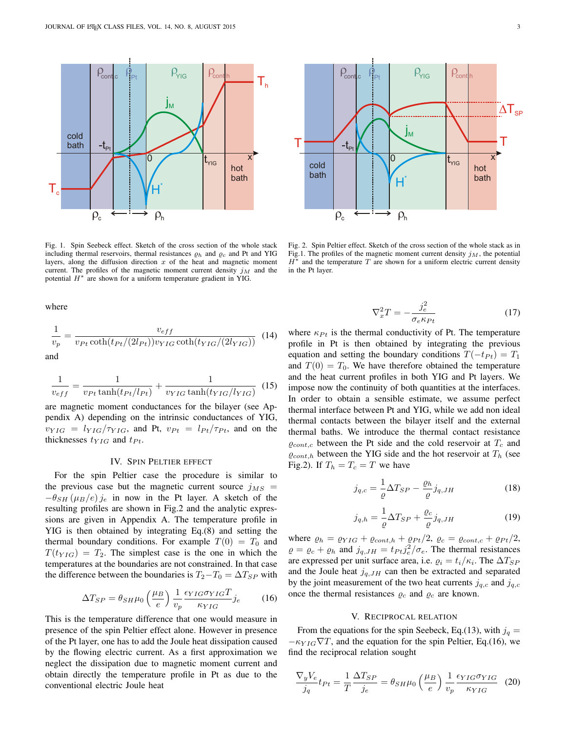$-t_{\rm Pt}$ 



 $H^*$ 

c h

 $\begin{array}{c|c} 0 & t_{\text{YIG}} & x \end{array}$ 

hot bath

Pt  $Y$ IG conth  $T_h$ 

jM

cont<mark>,c i<sub>Pt</sub> | YIG cont<sub>,</sub>h</mark>

where

 $T_{\rm c}$ 

cold bath

$$
\frac{1}{v_p} = \frac{v_{eff}}{v_{Pt}\coth(t_{Pt}/(2l_{Pt}))v_{YIG}\coth(t_{YIG}/(2l_{YIG}))}
$$
(14) and

$$
\frac{1}{v_{eff}} = \frac{1}{v_{Pt} \tanh(t_{Pt}/l_{Pt})} + \frac{1}{v_{YIG} \tanh(t_{YIG}/l_{YIG})} (15)
$$

are magnetic moment conductances for the bilayer (see Appendix A) depending on the intrinsic conductances of YIG,  $v_{YIG} = l_{YIG}/\tau_{YIG}$ , and Pt,  $v_{Pt} = l_{Pt}/\tau_{Pt}$ , and on the thicknesses  $t_{YIG}$  and  $t_{Pt}$ .

### IV. SPIN PELTIER EFFECT

For the spin Peltier case the procedure is similar to the previous case but the magnetic current source  $j_{MS}$  =  $-\theta_{SH}$  ( $\mu_B/e$ ) j<sub>e</sub> in now in the Pt layer. A sketch of the resulting profiles are shown in Fig.2 and the analytic expressions are given in Appendix A. The temperature profile in YIG is then obtained by integrating Eq.(8) and setting the thermal boundary conditions. For example  $T(0) = T_0$  and  $T(t_{YIG}) = T_2$ . The simplest case is the one in which the temperatures at the boundaries are not constrained. In that case the difference between the boundaries is  $T_2 - T_0 = \Delta T_{SP}$  with

$$
\Delta T_{SP} = \theta_{SH} \mu_0 \left(\frac{\mu_B}{e}\right) \frac{1}{v_p} \frac{\epsilon_{YIG} \sigma_{YIG} T}{\kappa_{YIG}} j_e \tag{16}
$$

This is the temperature difference that one would measure in presence of the spin Peltier effect alone. However in presence of the Pt layer, one has to add the Joule heat dissipation caused by the flowing electric current. As a first approximation we neglect the dissipation due to magnetic moment current and obtain directly the temperature profile in Pt as due to the conventional electric Joule heat

$$
\nabla_x^2 T = -\frac{j_e^2}{\sigma_e \kappa_{Pt}}\tag{17}
$$

where  $\kappa_{Pt}$  is the thermal conductivity of Pt. The temperature profile in Pt is then obtained by integrating the previous equation and setting the boundary conditions  $T(-t_{Pt}) = T_1$ and  $T(0) = T_0$ . We have therefore obtained the temperature and the heat current profiles in both YIG and Pt layers. We impose now the continuity of both quantities at the interfaces. In order to obtain a sensible estimate, we assume perfect thermal interface between Pt and YIG, while we add non ideal thermal contacts between the bilayer itself and the external thermal baths. We introduce the thermal contact resistance  $\varrho_{cont.c}$  between the Pt side and the cold reservoir at  $T_c$  and  $\varrho_{cont,h}$  between the YIG side and the hot reservoir at  $T_h$  (see Fig.2). If  $T_h = T_c = T$  we have

$$
j_{q,c} = \frac{1}{\varrho} \Delta T_{SP} - \frac{\varrho_h}{\varrho} j_{q,JH}
$$
 (18)

$$
j_{q,h} = \frac{1}{\varrho} \Delta T_{SP} + \frac{\varrho_c}{\varrho} j_{q,JH}
$$
 (19)

where  $\varrho_h = \varrho_{YIG} + \varrho_{cont,h} + \varrho_{Pt}/2$ ,  $\varrho_c = \varrho_{cont,c} + \varrho_{Pt}/2$ ,  $\rho = \rho_c + \rho_h$  and  $j_{q,JH} = t_{Pt} j_e^2 / \sigma_e$ . The thermal resistances are expressed per unit surface area, i.e.  $\rho_i = t_i/\kappa_i$ . The  $\Delta T_{SP}$ and the Joule heat  $j_{q,JH}$  can then be extracted and separated by the joint measurement of the two heat currents  $j_{q,c}$  and  $j_{q,c}$ once the thermal resistances  $\rho_c$  and  $\rho_c$  are known.

## V. RECIPROCAL RELATION

From the equations for the spin Seebeck, Eq.(13), with  $j_q =$  $-\kappa_{YIG} \nabla T$ , and the equation for the spin Peltier, Eq.(16), we find the reciprocal relation sought

$$
\frac{\nabla_y V_e}{j_q} t_{Pt} = \frac{1}{T} \frac{\Delta T_{SP}}{j_e} = \theta_{SH} \mu_0 \left(\frac{\mu_B}{e}\right) \frac{1}{v_p} \frac{\epsilon_{YIG} \sigma_{YIG}}{\kappa_{YIG}} \tag{20}
$$

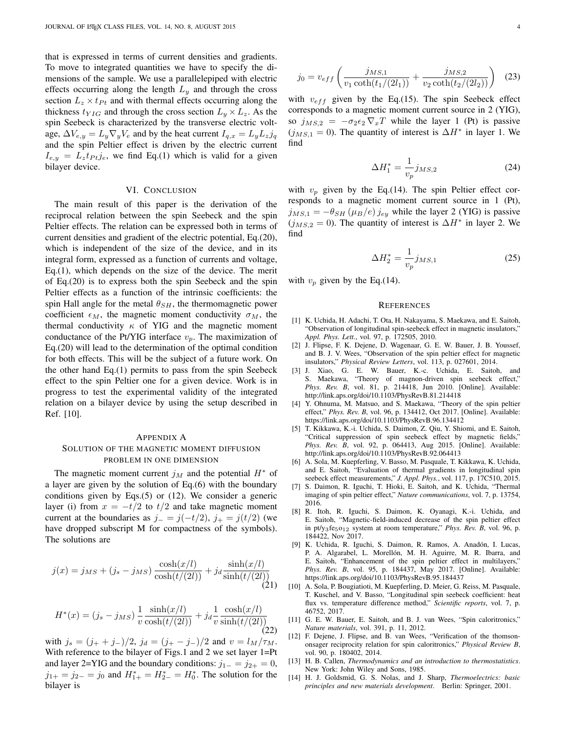that is expressed in terms of current densities and gradients. To move to integrated quantities we have to specify the dimensions of the sample. We use a parallelepiped with electric effects occurring along the length  $L_y$  and through the cross section  $L_z \times t_{Pt}$  and with thermal effects occurring along the thickness  $t_{YIG}$  and through the cross section  $L_y \times L_z$ . As the spin Seebeck is characterized by the transverse electric voltage,  $\Delta V_{e,y} = L_y \nabla_y V_e$  and by the heat current  $I_{q,x} = L_y L_z j_q$ and the spin Peltier effect is driven by the electric current  $I_{e,y} = L_z t_{Pt} j_e$ , we find Eq.(1) which is valid for a given bilayer device.

#### VI. CONCLUSION

The main result of this paper is the derivation of the reciprocal relation between the spin Seebeck and the spin Peltier effects. The relation can be expressed both in terms of current densities and gradient of the electric potential, Eq.(20), which is independent of the size of the device, and in its integral form, expressed as a function of currents and voltage, Eq.(1), which depends on the size of the device. The merit of Eq.(20) is to express both the spin Seebeck and the spin Peltier effects as a function of the intrinsic coefficients: the spin Hall angle for the metal  $\theta_{SH}$ , the thermomagnetic power coefficient  $\epsilon_M$ , the magnetic moment conductivity  $\sigma_M$ , the thermal conductivity  $\kappa$  of YIG and the magnetic moment conductance of the Pt/YIG interface  $v_p$ . The maximization of Eq.(20) will lead to the determination of the optimal condition for both effects. This will be the subject of a future work. On the other hand Eq.(1) permits to pass from the spin Seebeck effect to the spin Peltier one for a given device. Work is in progress to test the experimental validity of the integrated relation on a bilayer device by using the setup described in Ref. [10].

# APPENDIX A SOLUTION OF THE MAGNETIC MOMENT DIFFUSION PROBLEM IN ONE DIMENSION

The magnetic moment current  $j<sub>M</sub>$  and the potential  $H^*$  of a layer are given by the solution of Eq.(6) with the boundary conditions given by Eqs.(5) or (12). We consider a generic layer (i) from  $x = -t/2$  to  $t/2$  and take magnetic moment current at the boundaries as  $j_-=j(-t/2), j_+=j(t/2)$  (we have dropped subscript M for compactness of the symbols). The solutions are

$$
j(x) = j_{MS} + (j_s - j_{MS}) \frac{\cosh(x/l)}{\cosh(t/(2l))} + j_d \frac{\sinh(x/l)}{\sinh(t/(2l))}
$$
(21)

$$
H^*(x) = (j_s - j_{MS}) \frac{1}{v} \frac{\sinh(x/l)}{\cosh(t/(2l))} + j_d \frac{1}{v} \frac{\cosh(x/l)}{\sinh(t/(2l))}
$$
(22)

with  $j_s = (j_+ + j_-)/2$ ,  $j_d = (j_+ - j_-)/2$  and  $v = l_M/\tau_M$ . With reference to the bilayer of Figs.1 and 2 we set layer 1=Pt and layer 2=YIG and the boundary conditions:  $j_{1-} = j_{2+} = 0$ ,  $j_{1+} = j_{2-} = j_0$  and  $H_{1+}^* = H_{2-}^* = H_0^*$ . The solution for the bilayer is

$$
j_0 = v_{eff} \left( \frac{j_{MS,1}}{v_1 \coth(t_1/(2l_1))} + \frac{j_{MS,2}}{v_2 \coth(t_2/(2l_2))} \right)
$$
 (23)

with  $v_{eff}$  given by the Eq.(15). The spin Seebeck effect corresponds to a magnetic moment current source in 2 (YIG), so  $j_{MS,2} = -\sigma_2 \epsilon_2 \nabla_x T$  while the layer 1 (Pt) is passive  $(j_{MS,1} = 0)$ . The quantity of interest is  $\Delta H^*$  in layer 1. We find

$$
\Delta H_1^* = \frac{1}{v_p} j_{MS,2} \tag{24}
$$

with  $v_p$  given by the Eq.(14). The spin Peltier effect corresponds to a magnetic moment current source in 1 (Pt),  $j_{MS,1} = -\theta_{SH} (\mu_B/e) j_{ey}$  while the layer 2 (YIG) is passive  $(j_{MS,2} = 0)$ . The quantity of interest is  $\Delta H^*$  in layer 2. We find

$$
\Delta H_2^* = \frac{1}{v_p} j_{MS,1} \tag{25}
$$

with  $v_p$  given by the Eq.(14).

#### **REFERENCES**

- [1] K. Uchida, H. Adachi, T. Ota, H. Nakayama, S. Maekawa, and E. Saitoh, "Observation of longitudinal spin-seebeck effect in magnetic insulators," *Appl. Phys. Lett.*, vol. 97, p. 172505, 2010.
- [2] J. Flipse, F. K. Dejene, D. Wagenaar, G. E. W. Bauer, J. B. Youssef, and B. J. V. Wees, "Observation of the spin peltier effect for magnetic insulators," *Physical Review Letters*, vol. 113, p. 027601, 2014.
- [3] J. Xiao, G. E. W. Bauer, K.-c. Uchida, E. Saitoh, and S. Maekawa, "Theory of magnon-driven spin seebeck effect," *Phys. Rev. B*, vol. 81, p. 214418, Jun 2010. [Online]. Available: http://link.aps.org/doi/10.1103/PhysRevB.81.214418
- [4] Y. Ohnuma, M. Matsuo, and S. Maekawa, "Theory of the spin peltier effect," *Phys. Rev. B*, vol. 96, p. 134412, Oct 2017. [Online]. Available: https://link.aps.org/doi/10.1103/PhysRevB.96.134412
- [5] T. Kikkawa, K.-i. Uchida, S. Daimon, Z. Qiu, Y. Shiomi, and E. Saitoh, "Critical suppression of spin seebeck effect by magnetic fields," *Phys. Rev. B*, vol. 92, p. 064413, Aug 2015. [Online]. Available: http://link.aps.org/doi/10.1103/PhysRevB.92.064413
- [6] A. Sola, M. Kuepferling, V. Basso, M. Pasquale, T. Kikkawa, K. Uchida, and E. Saitoh, "Evaluation of thermal gradients in longitudinal spin seebeck effect measurements," *J. Appl. Phys.*, vol. 117, p. 17C510, 2015.
- [7] S. Daimon, R. Iguchi, T. Hioki, E. Saitoh, and K. Uchida, "Thermal imaging of spin peltier effect," *Nature communications*, vol. 7, p. 13754, 2016.
- [8] R. Itoh, R. Iguchi, S. Daimon, K. Oyanagi, K.-i. Uchida, and E. Saitoh, "Magnetic-field-induced decrease of the spin peltier effect in pt/y3fe5o<sup>12</sup> system at room temperature," *Phys. Rev. B*, vol. 96, p. 184422, Nov 2017.
- [9] K. Uchida, R. Iguchi, S. Daimon, R. Ramos, A. Anadon, I. Lucas, ´ P. A. Algarabel, L. Morellón, M. H. Aguirre, M. R. Ibarra, and E. Saitoh, "Enhancement of the spin peltier effect in multilayers," *Phys. Rev. B*, vol. 95, p. 184437, May 2017. [Online]. Available: https://link.aps.org/doi/10.1103/PhysRevB.95.184437
- [10] A. Sola, P. Bougiatioti, M. Kuepferling, D. Meier, G. Reiss, M. Pasquale, T. Kuschel, and V. Basso, "Longitudinal spin seebeck coefficient: heat flux vs. temperature difference method," *Scientific reports*, vol. 7, p. 46752, 2017.
- [11] G. E. W. Bauer, E. Saitoh, and B. J. van Wees, "Spin caloritronics," *Nature materials*, vol. 391, p. 11, 2012.
- [12] F. Dejene, J. Flipse, and B. van Wees, "Verification of the thomsononsager reciprocity relation for spin caloritronics," *Physical Review B*, vol. 90, p. 180402, 2014.
- [13] H. B. Callen, *Thermodynamics and an introduction to thermostatistics*. New York: John Wiley and Sons, 1985.
- [14] H. J. Goldsmid, G. S. Nolas, and J. Sharp, *Thermoelectrics: basic principles and new materials development*. Berlin: Springer, 2001.